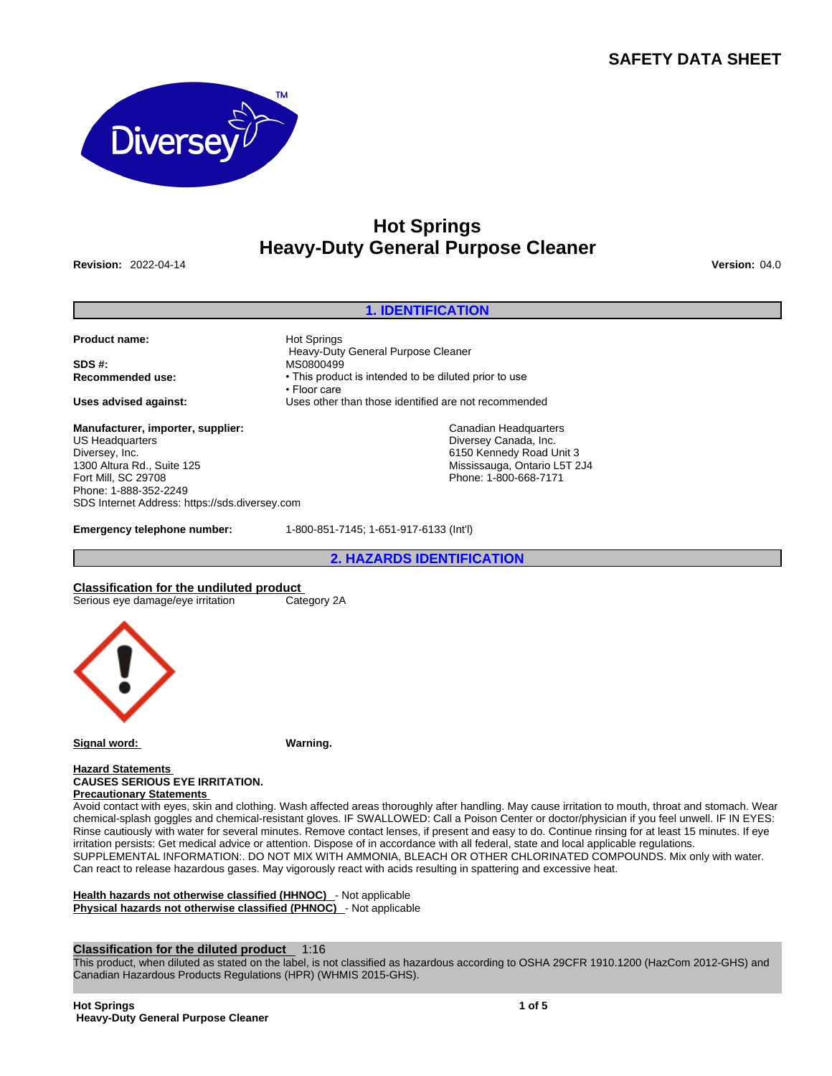# **SAFETY DATA SHEET**



# **Hot Springs Heavy-Duty General Purpose Cleaner**

**Revision:** 2022-04-14 **Version:** 04.0

#### **1. IDENTIFICATION**

**Product name: Hot Springs** 

**SDS #:** MS0800499

**Manufacturer, importer, supplier:** US Headquarters Diversey, Inc. 1300 Altura Rd., Suite 125 Fort Mill, SC 29708 Phone: 1-888-352-2249 SDS Internet Address: https://sds.diversey.com

 Heavy-Duty General Purpose Cleaner **Recommended use:** • This product is intended to be diluted prior to use • Floor care **Uses advised against:** Uses other than those identified are not recommended

> Canadian Headquarters Diversey Canada, Inc. 6150 Kennedy Road Unit 3 Mississauga, Ontario L5T 2J4 Phone: 1-800-668-7171

**Emergency telephone number:** 1-800-851-7145; 1-651-917-6133 (Int'l)

**2. HAZARDS IDENTIFICATION**

**Classification for the undiluted product** Serious eye damage/eye irritation



**Signal word: Warning.**

**Hazard Statements CAUSES SERIOUS EYE IRRITATION. Precautionary Statements** 

Avoid contact with eyes, skin and clothing. Wash affected areas thoroughly after handling. May cause irritation to mouth, throat and stomach. Wear chemical-splash goggles and chemical-resistant gloves. IF SWALLOWED: Call a Poison Center or doctor/physician if you feel unwell. IF IN EYES: Rinse cautiously with water for several minutes. Remove contact lenses, if present and easy to do. Continue rinsing for at least 15 minutes. If eye irritation persists: Get medical advice or attention. Dispose of in accordance with all federal, state and local applicable regulations. SUPPLEMENTAL INFORMATION:. DO NOT MIX WITH AMMONIA, BLEACH OR OTHER CHLORINATED COMPOUNDS. Mix only with water. Can react to release hazardous gases. May vigorously react with acids resulting in spattering and excessive heat.

**Health hazards not otherwise classified (HHNOC)** - Not applicable **Physical hazards not otherwise classified (PHNOC)** - Not applicable

## **Classification for the diluted product** 1:16

This product, when diluted as stated on the label, is not classified as hazardous according to OSHA 29CFR 1910.1200 (HazCom 2012-GHS) and Canadian Hazardous Products Regulations (HPR) (WHMIS 2015-GHS).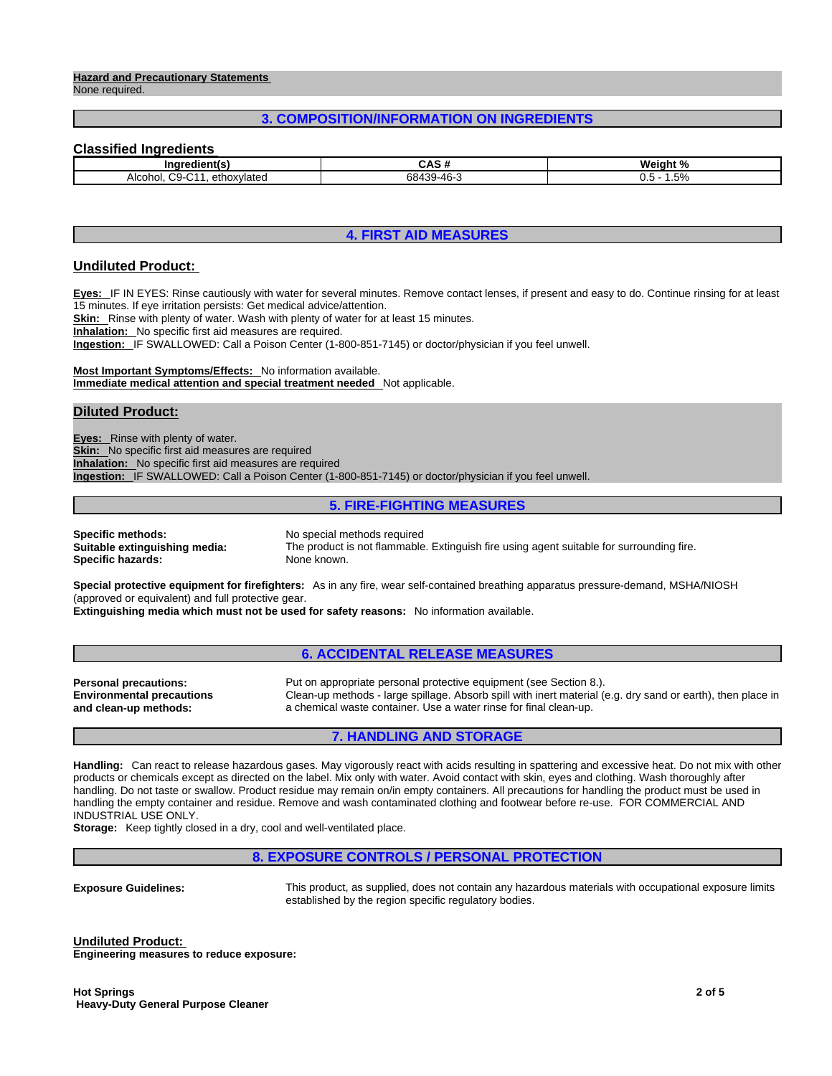#### **Hazard and Precautionary Statements**  None required.

# **3. COMPOSITION/INFORMATION ON INGREDIENTS**

# **Classified Ingredients**

| .<br>-- --<br>ına                                | - GAD                | <b>Weight</b><br>$\mathbf{a}$ |
|--------------------------------------------------|----------------------|-------------------------------|
| $\sim$<br>Alcohol<br>. ethox:<br>wlatec<br>י-ויי | 384<br>$\sim$<br>. . | .5%<br>U.J                    |

# **4. FIRST AID MEASURES**

#### **Undiluted Product:**

**Eyes:** IF IN EYES: Rinse cautiously with water for several minutes. Remove contact lenses, if present and easy to do. Continue rinsing for at least 15 minutes. If eye irritation persists: Get medical advice/attention.

**Skin:** Rinse with plenty of water. Wash with plenty of water for at least 15 minutes.

**Inhalation:** No specific first aid measures are required.

**Ingestion:** IF SWALLOWED: Call a Poison Center (1-800-851-7145) or doctor/physician if you feel unwell.

**Most Important Symptoms/Effects:** No information available. **Immediate medical attention and special treatment needed** Not applicable.

#### **Diluted Product:**

**Eyes:** Rinse with plenty of water. **Skin:** No specific first aid measures are required **Inhalation:** No specific first aid measures are required **Ingestion:** IF SWALLOWED: Call a Poison Center (1-800-851-7145) or doctor/physician if you feel unwell.

#### **5. FIRE-FIGHTING MEASURES**

**Specific methods:** No special methods required **Specific hazards:** None known.

**Suitable extinguishing media:** The product is not flammable. Extinguish fire using agent suitable for surrounding fire.

**Special protective equipment for firefighters:** As in any fire, wear self-contained breathing apparatus pressure-demand, MSHA/NIOSH (approved or equivalent) and full protective gear.

**Extinguishing media which must not be used for safety reasons:** No information available.

## **6. ACCIDENTAL RELEASE MEASURES**

**Environmental precautions and clean-up methods:** 

**Personal precautions:** Put on appropriate personal protective equipment (see Section 8.). Clean-up methods - large spillage. Absorb spill with inert material (e.g. dry sand or earth), then place in a chemical waste container. Use a water rinse for final clean-up.

## **7. HANDLING AND STORAGE**

**Handling:** Can react to release hazardous gases. May vigorously react with acids resulting in spattering and excessive heat. Do not mix with other products or chemicals except as directed on the label. Mix only with water. Avoid contact with skin, eyes and clothing. Wash thoroughly after handling. Do not taste or swallow. Product residue may remain on/in empty containers. All precautions for handling the product must be used in handling the empty container and residue. Remove and wash contaminated clothing and footwear before re-use. FOR COMMERCIAL AND INDUSTRIAL USE ONLY.

**Storage:** Keep tightly closed in a dry, cool and well-ventilated place.

## **8. EXPOSURE CONTROLS / PERSONAL PROTECTION**

**Exposure Guidelines:** This product, as supplied, does not contain any hazardous materials with occupational exposure limits established by the region specific regulatory bodies.

**Undiluted Product: Engineering measures to reduce exposure:**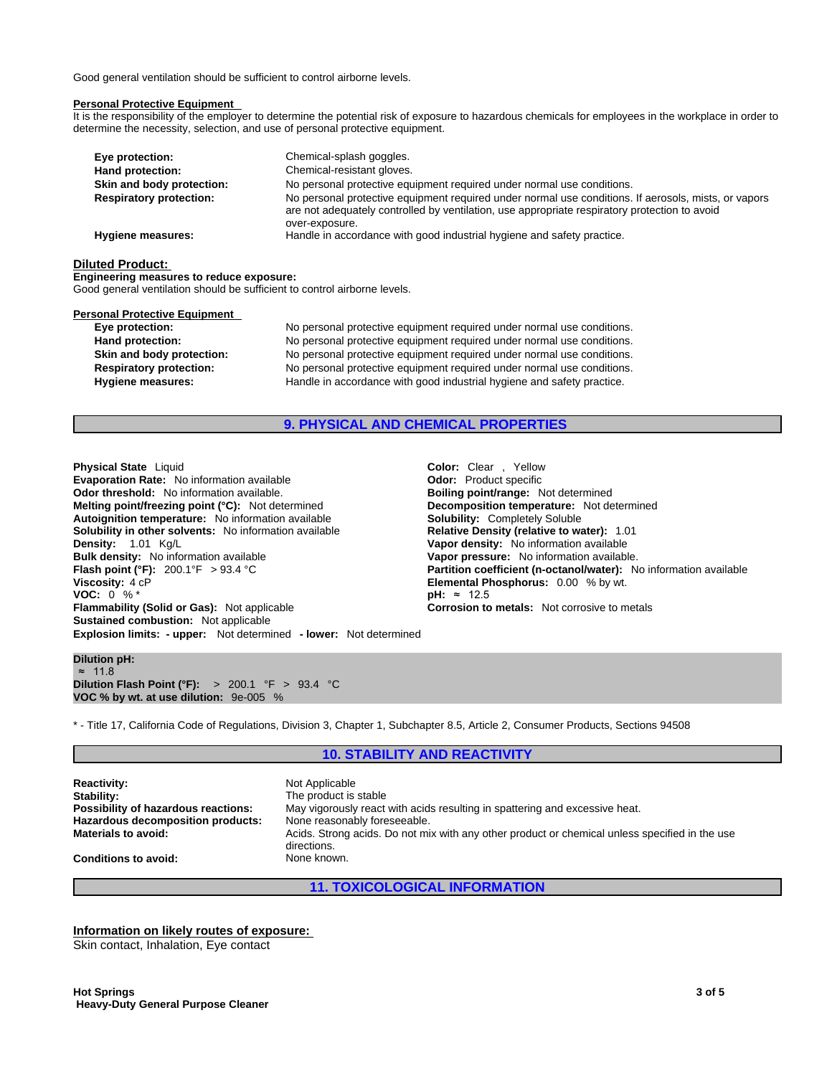Good general ventilation should be sufficient to control airborne levels.

#### **Personal Protective Equipment**

It is the responsibility of the employer to determine the potential risk of exposure to hazardous chemicals for employees in the workplace in order to determine the necessity, selection, and use of personal protective equipment.

| Eye protection:                | Chemical-splash goggles.                                                                                                                                                                              |
|--------------------------------|-------------------------------------------------------------------------------------------------------------------------------------------------------------------------------------------------------|
| Hand protection:               | Chemical-resistant gloves.                                                                                                                                                                            |
| Skin and body protection:      | No personal protective equipment required under normal use conditions.                                                                                                                                |
| <b>Respiratory protection:</b> | No personal protective equipment required under normal use conditions. If aerosols, mists, or vapors<br>are not adequately controlled by ventilation, use appropriate respiratory protection to avoid |
|                                | over-exposure.                                                                                                                                                                                        |
| Hygiene measures:              | Handle in accordance with good industrial hygiene and safety practice.                                                                                                                                |

#### **Diluted Product:**

**Engineering measures to reduce exposure:** Good general ventilation should be sufficient to control airborne levels.

# **Personal Protective Equipment**<br> **Eve protection:**

No personal protective equipment required under normal use conditions. **Hand protection:** No personal protective equipment required under normal use conditions. **Skin and body protection:** No personal protective equipment required under normal use conditions. **Respiratory protection:** No personal protective equipment required under normal use conditions. **Hygiene measures:** Handle in accordance with good industrial hygiene and safety practice.

#### **9. PHYSICAL AND CHEMICAL PROPERTIES**

**Explosion limits: - upper:** Not determined **- lower:** Not determined **Physical State** Liquid **Color:** Clear , Yellow **Evaporation Rate:** No information available **Connect Section Codor:** Product specific<br> **Odor threshold:** No information available. **Connect Section Section Boiling point/range:** Not determined **Odor threshold:** No information available. **Melting point/freezing point (°C):** Not determined **Decomposition temperature:** Not determined **Autoignition temperature:** No information available **Solubility:** Completely Soluble **Solubility in other solvents:** No information available **Density:** 1.01 Kg/L **Vapor density:** No information available **Bulk density:** No information available **Vapor pressure:** No information available. **Flash point (°F):** 200.1°F > 93.4 °C **Partition coefficient (n-octanol/water):** No information available **Viscosity:** 4 cP<br> **Partition coefficient (n-octanol/water):** No information available **Viscosity:** 4 cP **VOC:** 0 % \* **Flammability (Solid or Gas):** Not applicable **Corrosion to metals:** Not corrosive to metals **Sustained combustion:** Not applicable

**Elemental Phosphorus:** 0.00 % by wt.<br>**pH:** ≈ 12.5

#### **Dilution pH:** ≈ 11.8 **Dilution Flash Point (°F):** > 200.1 °F > 93.4 °C **VOC % by wt. at use dilution:** 9e-005 %

\* - Title 17, California Code of Regulations, Division 3, Chapter 1, Subchapter 8.5, Article 2, Consumer Products, Sections 94508

# **10. STABILITY AND REACTIVITY**

**Reactivity:** Not Applicable **Stability:** The product is stable<br> **Possibility of hazardous reactions:** May vigorously react **Hazardous decomposition products:** 

May vigorously react with acids resulting in spattering and excessive heat.<br>None reasonably foreseeable. **Materials to avoid:** Acids. Strong acids. Do not mix with any other product or chemical unless specified in the use directions. **Conditions to avoid:** None known.

**11. TOXICOLOGICAL INFORMATION**

**Information on likely routes of exposure:**

Skin contact, Inhalation, Eye contact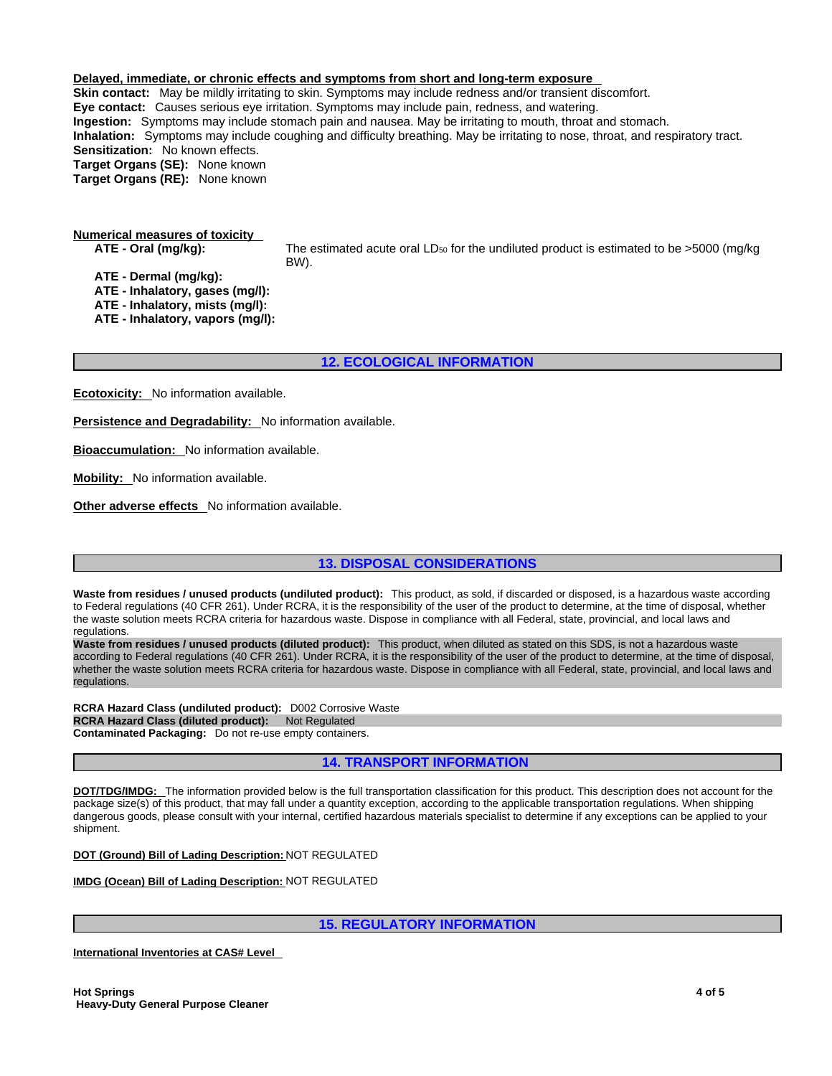**Delayed, immediate, or chronic effects and symptoms from short and long-term exposure Skin contact:** May be mildly irritating to skin. Symptoms may include redness and/or transient discomfort. **Eye contact:** Causes serious eye irritation. Symptoms may include pain, redness, and watering. **Ingestion:** Symptoms may include stomach pain and nausea. May be irritating to mouth, throat and stomach. **Inhalation:** Symptoms may include coughing and difficulty breathing. May be irritating to nose, throat, and respiratory tract. **Sensitization:** No known effects. **Target Organs (SE):** None known **Target Organs (RE):** None known

**Numerical measures of toxicity**

**ATE - Oral (mg/kg):** The estimated acute oral LD<sup>50</sup> for the undiluted product is estimated to be >5000 (mg/kg BW).

**ATE - Dermal (mg/kg): ATE - Inhalatory, gases (mg/l): ATE - Inhalatory, mists (mg/l): ATE - Inhalatory, vapors (mg/l):**

**12. ECOLOGICAL INFORMATION**

**Ecotoxicity:** No information available.

**Persistence and Degradability:** No information available.

**Bioaccumulation:** No information available.

**Mobility:** No information available.

**Other adverse effects** No information available.

**13. DISPOSAL CONSIDERATIONS**

**Waste from residues / unused products (undiluted product):** This product, as sold, if discarded or disposed, is a hazardous waste according to Federal regulations (40 CFR 261). Under RCRA, it is the responsibility of the user of the product to determine, at the time of disposal, whether the waste solution meets RCRA criteria for hazardous waste. Dispose in compliance with all Federal, state, provincial, and local laws and regulations.

**Waste from residues / unused products (diluted product):** This product, when diluted as stated on this SDS, is not a hazardous waste according to Federal regulations (40 CFR 261). Under RCRA, it is the responsibility of the user of the product to determine, at the time of disposal, whether the waste solution meets RCRA criteria for hazardous waste. Dispose in compliance with all Federal, state, provincial, and local laws and<br>regulations.

**RCRA Hazard Class (undiluted product):** D002 Corrosive Waste **RCRA Hazard Class (diluted product): Not Regulated Contaminated Packaging:** Do not re-use empty containers.

**14. TRANSPORT INFORMATION**

**DOT/TDG/IMDG:** The information provided below is the full transportation classification for this product. This description does not account for the package size(s) of this product, that may fall under a quantity exception, according to the applicable transportation regulations. When shipping dangerous goods, please consult with your internal, certified hazardous materials specialist to determine if any exceptions can be applied to your shipment.

**DOT (Ground) Bill of Lading Description:** NOT REGULATED

**IMDG (Ocean) Bill of Lading Description:** NOT REGULATED

**15. REGULATORY INFORMATION**

**International Inventories at CAS# Level**